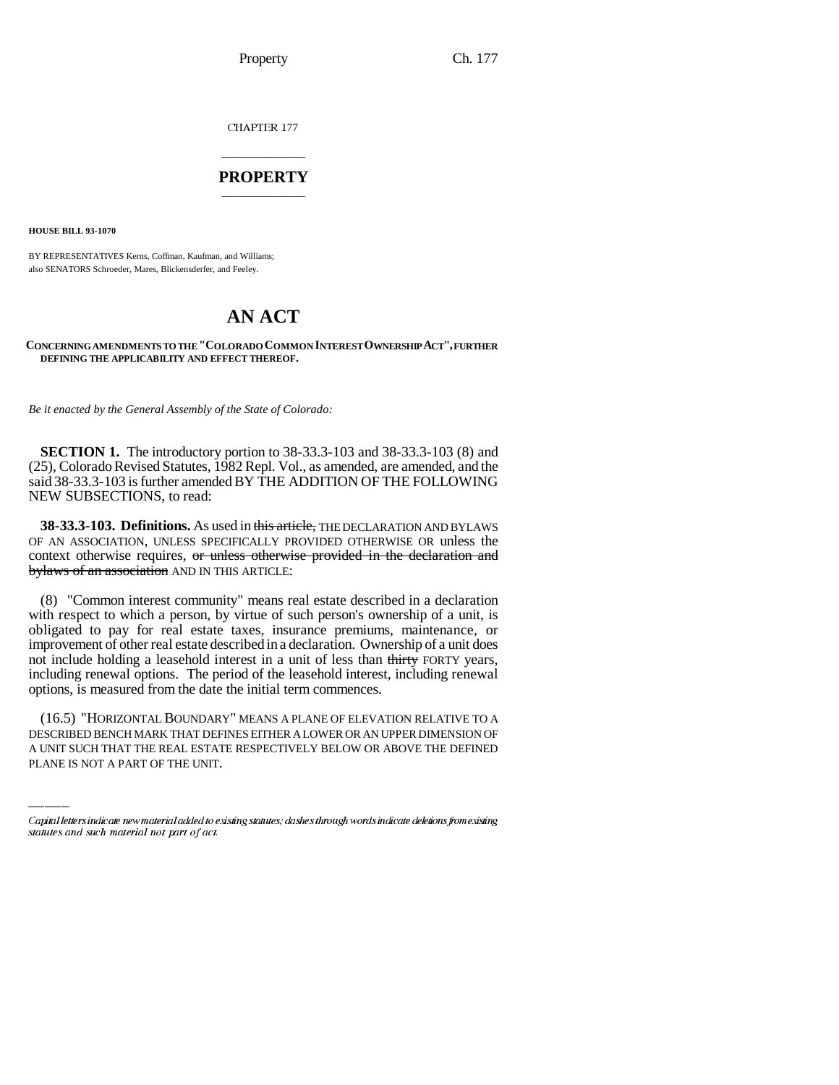Property Ch. 177

CHAPTER 177

## \_\_\_\_\_\_\_\_\_\_\_\_\_\_\_ **PROPERTY** \_\_\_\_\_\_\_\_\_\_\_\_\_\_\_

**HOUSE BILL 93-1070**

BY REPRESENTATIVES Kerns, Coffman, Kaufman, and Williams; also SENATORS Schroeder, Mares, Blickensderfer, and Feeley.

# **AN ACT**

### **CONCERNING AMENDMENTS TO THE "COLORADO COMMON INTEREST OWNERSHIP ACT", FURTHER DEFINING THE APPLICABILITY AND EFFECT THEREOF.**

*Be it enacted by the General Assembly of the State of Colorado:*

**SECTION 1.** The introductory portion to 38-33.3-103 and 38-33.3-103 (8) and (25), Colorado Revised Statutes, 1982 Repl. Vol., as amended, are amended, and the said 38-33.3-103 is further amended BY THE ADDITION OF THE FOLLOWING NEW SUBSECTIONS, to read:

**38-33.3-103. Definitions.** As used in this article, THE DECLARATION AND BYLAWS OF AN ASSOCIATION, UNLESS SPECIFICALLY PROVIDED OTHERWISE OR unless the context otherwise requires, or unless otherwise provided in the declaration and bylaws of an association AND IN THIS ARTICLE:

(8) "Common interest community" means real estate described in a declaration with respect to which a person, by virtue of such person's ownership of a unit, is obligated to pay for real estate taxes, insurance premiums, maintenance, or improvement of other real estate described in a declaration. Ownership of a unit does not include holding a leasehold interest in a unit of less than thirty FORTY years, including renewal options. The period of the leasehold interest, including renewal options, is measured from the date the initial term commences.

(16.5) "HORIZONTAL BOUNDARY" MEANS A PLANE OF ELEVATION RELATIVE TO A DESCRIBED BENCH MARK THAT DEFINES EITHER A LOWER OR AN UPPER DIMENSION OF A UNIT SUCH THAT THE REAL ESTATE RESPECTIVELY BELOW OR ABOVE THE DEFINED PLANE IS NOT A PART OF THE UNIT.

Capital letters indicate new material added to existing statutes; dashes through words indicate deletions from existing statutes and such material not part of act.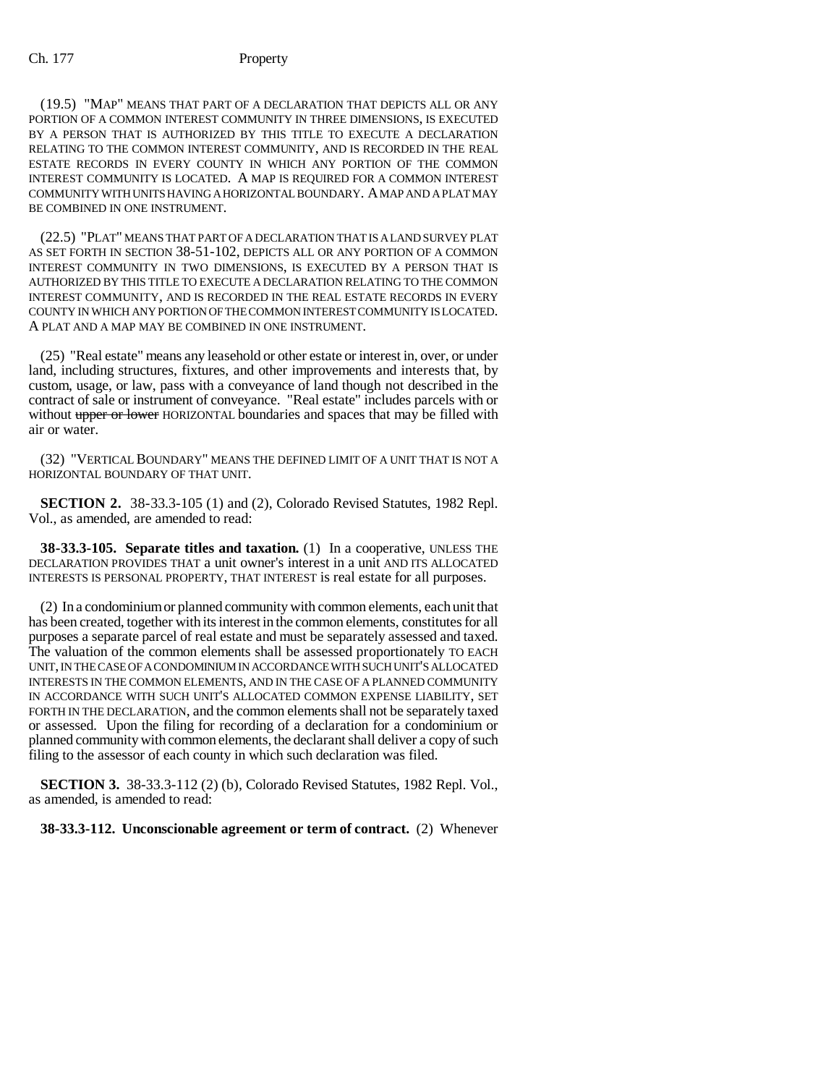(19.5) "MAP" MEANS THAT PART OF A DECLARATION THAT DEPICTS ALL OR ANY PORTION OF A COMMON INTEREST COMMUNITY IN THREE DIMENSIONS, IS EXECUTED BY A PERSON THAT IS AUTHORIZED BY THIS TITLE TO EXECUTE A DECLARATION RELATING TO THE COMMON INTEREST COMMUNITY, AND IS RECORDED IN THE REAL ESTATE RECORDS IN EVERY COUNTY IN WHICH ANY PORTION OF THE COMMON INTEREST COMMUNITY IS LOCATED. A MAP IS REQUIRED FOR A COMMON INTEREST COMMUNITY WITH UNITS HAVING A HORIZONTAL BOUNDARY. A MAP AND A PLAT MAY BE COMBINED IN ONE INSTRUMENT.

(22.5) "PLAT" MEANS THAT PART OF A DECLARATION THAT IS A LAND SURVEY PLAT AS SET FORTH IN SECTION 38-51-102, DEPICTS ALL OR ANY PORTION OF A COMMON INTEREST COMMUNITY IN TWO DIMENSIONS, IS EXECUTED BY A PERSON THAT IS AUTHORIZED BY THIS TITLE TO EXECUTE A DECLARATION RELATING TO THE COMMON INTEREST COMMUNITY, AND IS RECORDED IN THE REAL ESTATE RECORDS IN EVERY COUNTY IN WHICH ANY PORTION OF THE COMMON INTEREST COMMUNITY IS LOCATED. A PLAT AND A MAP MAY BE COMBINED IN ONE INSTRUMENT.

(25) "Real estate" means any leasehold or other estate or interest in, over, or under land, including structures, fixtures, and other improvements and interests that, by custom, usage, or law, pass with a conveyance of land though not described in the contract of sale or instrument of conveyance. "Real estate" includes parcels with or without upper or lower HORIZONTAL boundaries and spaces that may be filled with air or water.

(32) "VERTICAL BOUNDARY" MEANS THE DEFINED LIMIT OF A UNIT THAT IS NOT A HORIZONTAL BOUNDARY OF THAT UNIT.

**SECTION 2.** 38-33.3-105 (1) and (2), Colorado Revised Statutes, 1982 Repl. Vol., as amended, are amended to read:

**38-33.3-105. Separate titles and taxation.** (1) In a cooperative, UNLESS THE DECLARATION PROVIDES THAT a unit owner's interest in a unit AND ITS ALLOCATED INTERESTS IS PERSONAL PROPERTY, THAT INTEREST is real estate for all purposes.

(2) In a condominium or planned community with common elements, each unit that has been created, together with its interest in the common elements, constitutes for all purposes a separate parcel of real estate and must be separately assessed and taxed. The valuation of the common elements shall be assessed proportionately TO EACH UNIT, IN THE CASE OF A CONDOMINIUM IN ACCORDANCE WITH SUCH UNIT'S ALLOCATED INTERESTS IN THE COMMON ELEMENTS, AND IN THE CASE OF A PLANNED COMMUNITY IN ACCORDANCE WITH SUCH UNIT'S ALLOCATED COMMON EXPENSE LIABILITY, SET FORTH IN THE DECLARATION, and the common elements shall not be separately taxed or assessed. Upon the filing for recording of a declaration for a condominium or planned community with common elements, the declarant shall deliver a copy of such filing to the assessor of each county in which such declaration was filed.

**SECTION 3.** 38-33.3-112 (2) (b), Colorado Revised Statutes, 1982 Repl. Vol., as amended, is amended to read:

## **38-33.3-112. Unconscionable agreement or term of contract.** (2) Whenever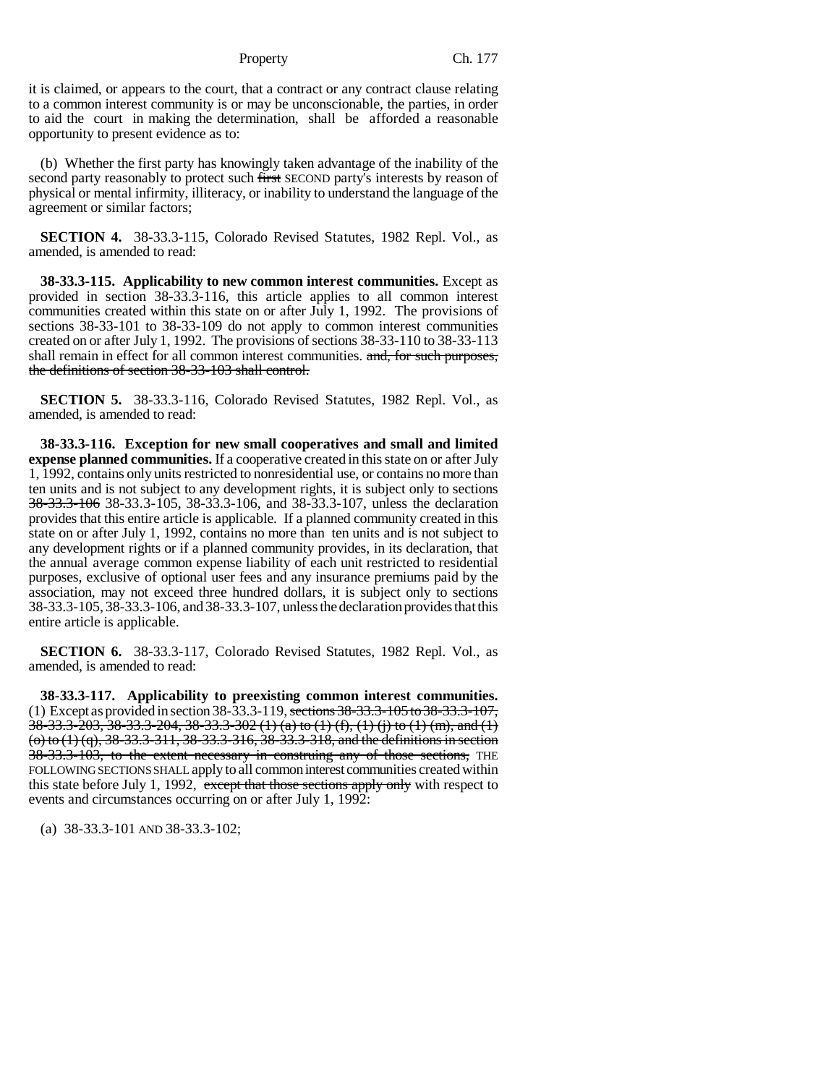Property Ch. 177

it is claimed, or appears to the court, that a contract or any contract clause relating to a common interest community is or may be unconscionable, the parties, in order to aid the court in making the determination, shall be afforded a reasonable opportunity to present evidence as to:

(b) Whether the first party has knowingly taken advantage of the inability of the second party reasonably to protect such first SECOND party's interests by reason of physical or mental infirmity, illiteracy, or inability to understand the language of the agreement or similar factors;

**SECTION 4.** 38-33.3-115, Colorado Revised Statutes, 1982 Repl. Vol., as amended, is amended to read:

**38-33.3-115. Applicability to new common interest communities.** Except as provided in section 38-33.3-116, this article applies to all common interest communities created within this state on or after July 1, 1992. The provisions of sections 38-33-101 to 38-33-109 do not apply to common interest communities created on or after July 1, 1992. The provisions of sections 38-33-110 to 38-33-113 shall remain in effect for all common interest communities. and, for such purposes, the definitions of section 38-33-103 shall control.

**SECTION 5.** 38-33.3-116, Colorado Revised Statutes, 1982 Repl. Vol., as amended, is amended to read:

**38-33.3-116. Exception for new small cooperatives and small and limited expense planned communities.** If a cooperative created in this state on or after July 1, 1992, contains only units restricted to nonresidential use, or contains no more than ten units and is not subject to any development rights, it is subject only to sections 38-33.3-106 38-33.3-105, 38-33.3-106, and 38-33.3-107, unless the declaration provides that this entire article is applicable. If a planned community created in this state on or after July 1, 1992, contains no more than ten units and is not subject to any development rights or if a planned community provides, in its declaration, that the annual average common expense liability of each unit restricted to residential purposes, exclusive of optional user fees and any insurance premiums paid by the association, may not exceed three hundred dollars, it is subject only to sections 38-33.3-105, 38-33.3-106, and 38-33.3-107, unless the declaration provides that this entire article is applicable.

**SECTION 6.** 38-33.3-117, Colorado Revised Statutes, 1982 Repl. Vol., as amended, is amended to read:

**38-33.3-117. Applicability to preexisting common interest communities.** (1) Except as provided in section 38-33.3-119, sections 38-33.3-105 to 38-33.3-107, 38-33.3-203, 38-33.3-204, 38-33.3-302 (1) (a) to (1) (f), (1) (j) to (1) (m), and (1)  $(0)$  to  $(1)$   $(q)$ , 38-33.3-311, 38-33.3-316, 38-33.3-318, and the definitions in section 38-33.3-103, to the extent necessary in construing any of those sections, THE FOLLOWING SECTIONS SHALL apply to all common interest communities created within this state before July 1, 1992, except that those sections apply only with respect to events and circumstances occurring on or after July 1, 1992:

(a) 38-33.3-101 AND 38-33.3-102;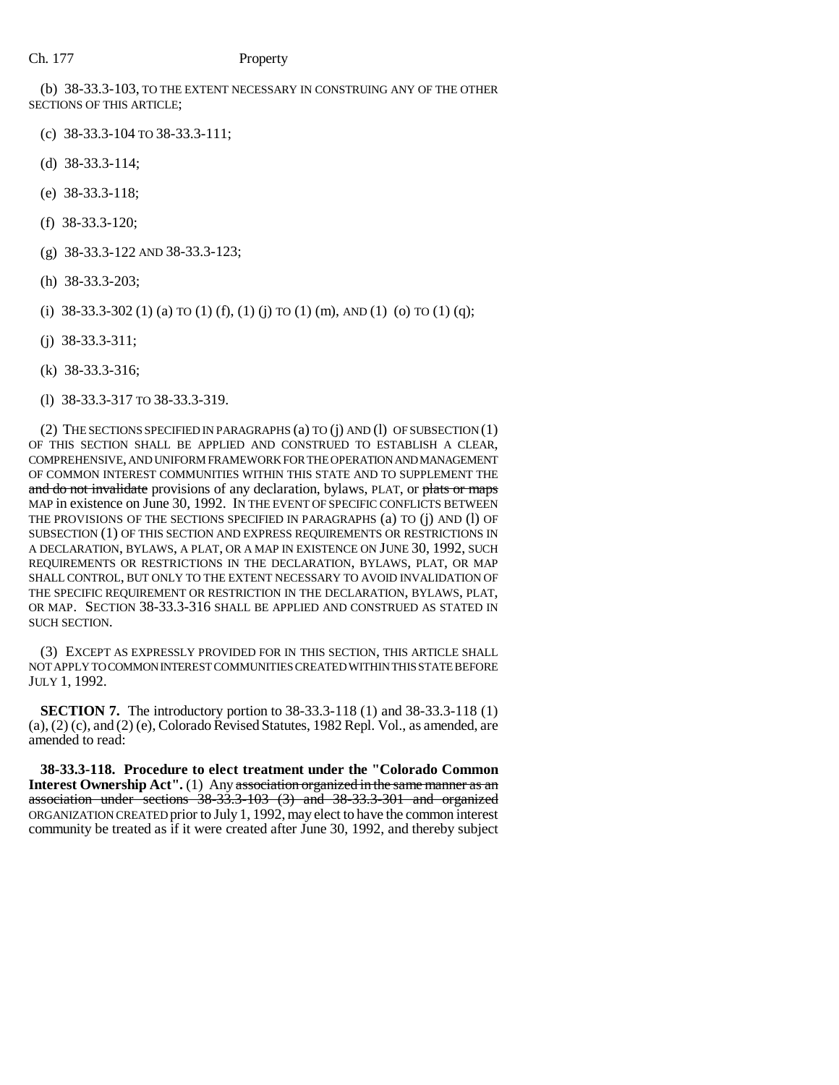(b) 38-33.3-103, TO THE EXTENT NECESSARY IN CONSTRUING ANY OF THE OTHER SECTIONS OF THIS ARTICLE;

- (c) 38-33.3-104 TO 38-33.3-111;
- (d) 38-33.3-114;
- (e) 38-33.3-118;
- (f) 38-33.3-120;
- (g) 38-33.3-122 AND 38-33.3-123;
- (h) 38-33.3-203;
- (i)  $38-33.3-302$  (1) (a) TO (1) (f), (1) (j) TO (1) (m), AND (1) (o) TO (1) (q);
- (j) 38-33.3-311;
- (k) 38-33.3-316;
- (l) 38-33.3-317 TO 38-33.3-319.

(2) THE SECTIONS SPECIFIED IN PARAGRAPHS (a) TO (j) AND (l) OF SUBSECTION (1) OF THIS SECTION SHALL BE APPLIED AND CONSTRUED TO ESTABLISH A CLEAR, COMPREHENSIVE, AND UNIFORM FRAMEWORK FOR THE OPERATION AND MANAGEMENT OF COMMON INTEREST COMMUNITIES WITHIN THIS STATE AND TO SUPPLEMENT THE and do not invalidate provisions of any declaration, bylaws, PLAT, or plats or maps MAP in existence on June 30, 1992. IN THE EVENT OF SPECIFIC CONFLICTS BETWEEN THE PROVISIONS OF THE SECTIONS SPECIFIED IN PARAGRAPHS (a) TO (j) AND (l) OF SUBSECTION (1) OF THIS SECTION AND EXPRESS REQUIREMENTS OR RESTRICTIONS IN A DECLARATION, BYLAWS, A PLAT, OR A MAP IN EXISTENCE ON JUNE 30, 1992, SUCH REQUIREMENTS OR RESTRICTIONS IN THE DECLARATION, BYLAWS, PLAT, OR MAP SHALL CONTROL, BUT ONLY TO THE EXTENT NECESSARY TO AVOID INVALIDATION OF THE SPECIFIC REQUIREMENT OR RESTRICTION IN THE DECLARATION, BYLAWS, PLAT, OR MAP. SECTION 38-33.3-316 SHALL BE APPLIED AND CONSTRUED AS STATED IN SUCH SECTION.

(3) EXCEPT AS EXPRESSLY PROVIDED FOR IN THIS SECTION, THIS ARTICLE SHALL NOT APPLY TO COMMON INTEREST COMMUNITIES CREATED WITHIN THIS STATE BEFORE JULY 1, 1992.

**SECTION 7.** The introductory portion to 38-33.3-118 (1) and 38-33.3-118 (1)  $(a)$ ,  $(2)$   $(c)$ , and  $(2)$   $(e)$ , Colorado Revised Statutes, 1982 Repl. Vol., as amended, are amended to read:

**38-33.3-118. Procedure to elect treatment under the "Colorado Common Interest Ownership Act''.** (1) Any association organized in the same manner as an association under sections 38-33.3-103 (3) and 38-33.3-301 and organized ORGANIZATION CREATED prior to July 1, 1992, may elect to have the common interest community be treated as if it were created after June 30, 1992, and thereby subject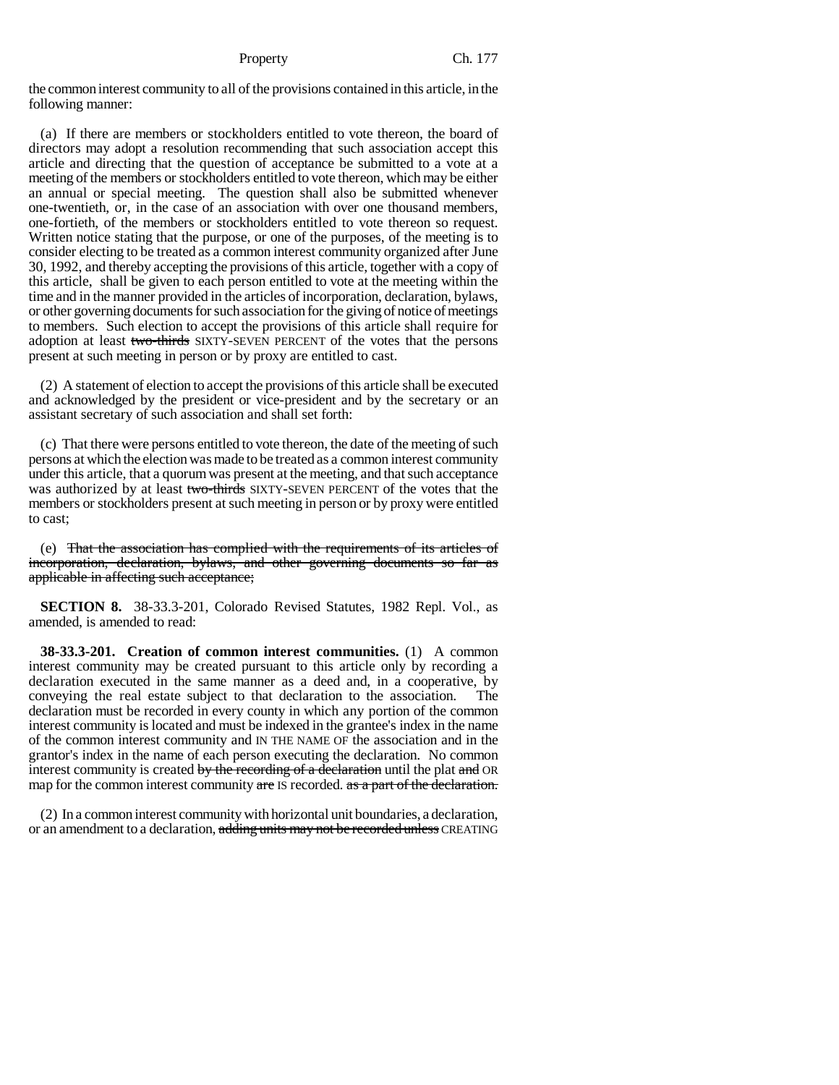the common interest community to all of the provisions contained in this article, in the following manner:

(a) If there are members or stockholders entitled to vote thereon, the board of directors may adopt a resolution recommending that such association accept this article and directing that the question of acceptance be submitted to a vote at a meeting of the members or stockholders entitled to vote thereon, which may be either an annual or special meeting. The question shall also be submitted whenever one-twentieth, or, in the case of an association with over one thousand members, one-fortieth, of the members or stockholders entitled to vote thereon so request. Written notice stating that the purpose, or one of the purposes, of the meeting is to consider electing to be treated as a common interest community organized after June 30, 1992, and thereby accepting the provisions of this article, together with a copy of this article, shall be given to each person entitled to vote at the meeting within the time and in the manner provided in the articles of incorporation, declaration, bylaws, or other governing documents for such association for the giving of notice of meetings to members. Such election to accept the provisions of this article shall require for adoption at least two-thirds SIXTY-SEVEN PERCENT of the votes that the persons present at such meeting in person or by proxy are entitled to cast.

(2) A statement of election to accept the provisions of this article shall be executed and acknowledged by the president or vice-president and by the secretary or an assistant secretary of such association and shall set forth:

(c) That there were persons entitled to vote thereon, the date of the meeting of such persons at which the election was made to be treated as a common interest community under this article, that a quorum was present at the meeting, and that such acceptance was authorized by at least two-thirds SIXTY-SEVEN PERCENT of the votes that the members or stockholders present at such meeting in person or by proxy were entitled to cast;

(e) That the association has complied with the requirements of its articles of incorporation, declaration, bylaws, and other governing documents so far as applicable in affecting such acceptance;

**SECTION 8.** 38-33.3-201, Colorado Revised Statutes, 1982 Repl. Vol., as amended, is amended to read:

**38-33.3-201. Creation of common interest communities.** (1) A common interest community may be created pursuant to this article only by recording a declaration executed in the same manner as a deed and, in a cooperative, by conveying the real estate subject to that declaration to the association. The declaration must be recorded in every county in which any portion of the common interest community is located and must be indexed in the grantee's index in the name of the common interest community and IN THE NAME OF the association and in the grantor's index in the name of each person executing the declaration. No common interest community is created by the recording of a declaration until the plat and OR map for the common interest community are IS recorded. as a part of the declaration.

(2) In a common interest community with horizontal unit boundaries, a declaration, or an amendment to a declaration, adding units may not be recorded unless CREATING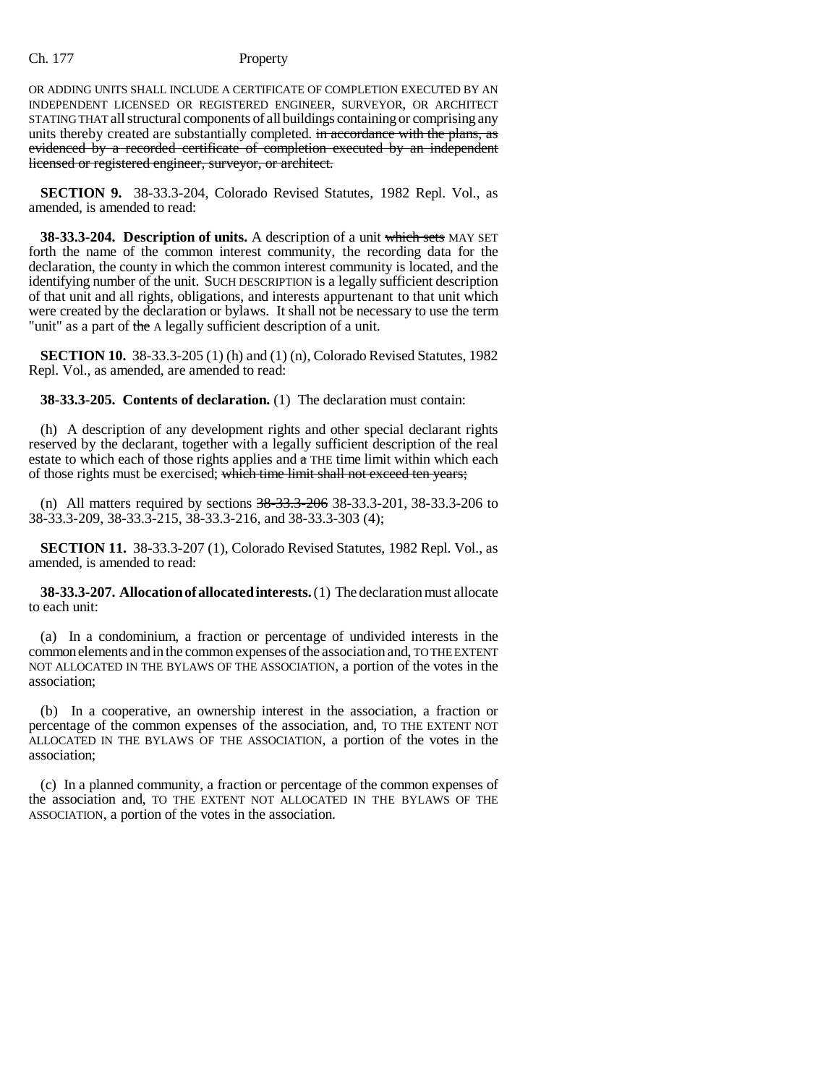OR ADDING UNITS SHALL INCLUDE A CERTIFICATE OF COMPLETION EXECUTED BY AN INDEPENDENT LICENSED OR REGISTERED ENGINEER, SURVEYOR, OR ARCHITECT STATING THAT all structural components of all buildings containing or comprising any units thereby created are substantially completed. in accordance with the plans, as evidenced by a recorded certificate of completion executed by an independent licensed or registered engineer, surveyor, or architect.

**SECTION 9.** 38-33.3-204, Colorado Revised Statutes, 1982 Repl. Vol., as amended, is amended to read:

**38-33.3-204. Description of units.** A description of a unit which sets MAY SET forth the name of the common interest community, the recording data for the declaration, the county in which the common interest community is located, and the identifying number of the unit. SUCH DESCRIPTION is a legally sufficient description of that unit and all rights, obligations, and interests appurtenant to that unit which were created by the declaration or bylaws. It shall not be necessary to use the term "unit" as a part of the A legally sufficient description of a unit.

**SECTION 10.** 38-33.3-205 (1) (h) and (1) (n), Colorado Revised Statutes, 1982 Repl. Vol., as amended, are amended to read:

**38-33.3-205. Contents of declaration.** (1) The declaration must contain:

(h) A description of any development rights and other special declarant rights reserved by the declarant, together with a legally sufficient description of the real estate to which each of those rights applies and  $a$  THE time limit within which each of those rights must be exercised; which time limit shall not exceed ten years;

(n) All matters required by sections 38-33.3-206 38-33.3-201, 38-33.3-206 to 38-33.3-209, 38-33.3-215, 38-33.3-216, and 38-33.3-303 (4);

**SECTION 11.** 38-33.3-207 (1), Colorado Revised Statutes, 1982 Repl. Vol., as amended, is amended to read:

**38-33.3-207. Allocation of allocated interests.** (1) The declaration must allocate to each unit:

(a) In a condominium, a fraction or percentage of undivided interests in the common elements and in the common expenses of the association and, TO THE EXTENT NOT ALLOCATED IN THE BYLAWS OF THE ASSOCIATION, a portion of the votes in the association;

(b) In a cooperative, an ownership interest in the association, a fraction or percentage of the common expenses of the association, and, TO THE EXTENT NOT ALLOCATED IN THE BYLAWS OF THE ASSOCIATION, a portion of the votes in the association;

(c) In a planned community, a fraction or percentage of the common expenses of the association and, TO THE EXTENT NOT ALLOCATED IN THE BYLAWS OF THE ASSOCIATION, a portion of the votes in the association.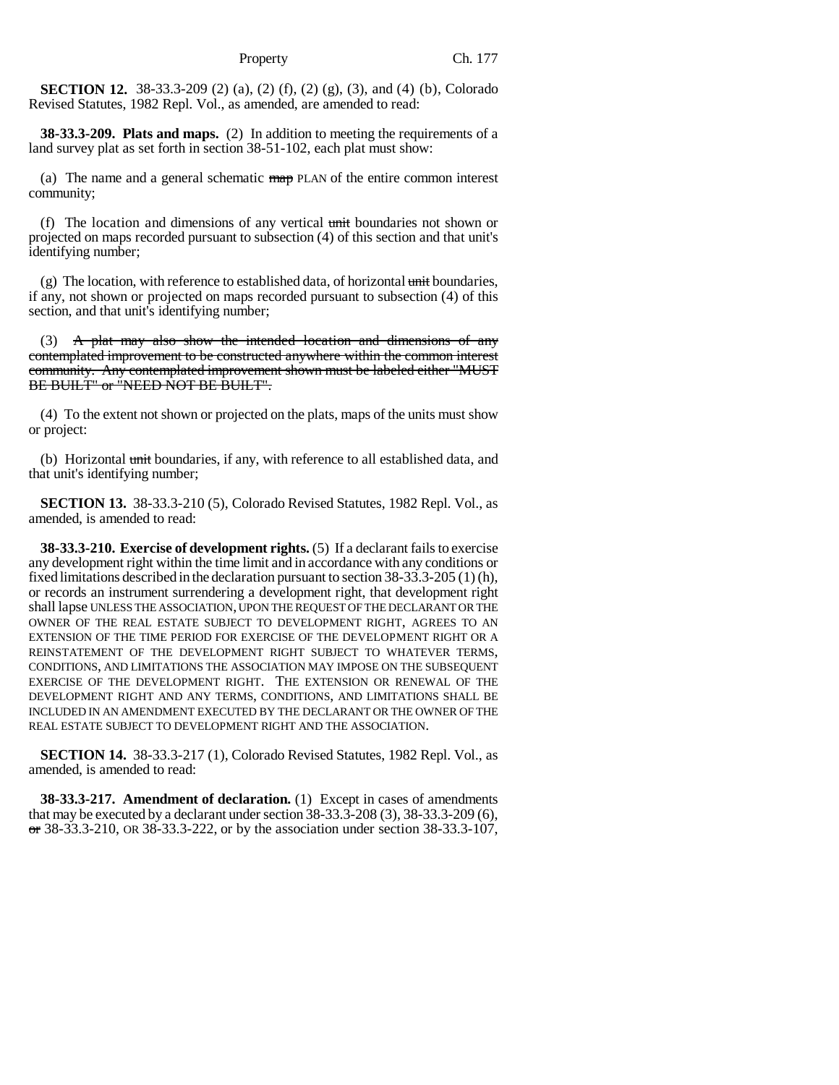**SECTION 12.** 38-33.3-209 (2) (a), (2) (f), (2) (g), (3), and (4) (b), Colorado Revised Statutes, 1982 Repl. Vol., as amended, are amended to read:

**38-33.3-209. Plats and maps.** (2) In addition to meeting the requirements of a land survey plat as set forth in section 38-51-102, each plat must show:

(a) The name and a general schematic  $\frac{m}{np}$  PLAN of the entire common interest community;

(f) The location and dimensions of any vertical  $\frac{1}{2}$  unit boundaries not shown or projected on maps recorded pursuant to subsection (4) of this section and that unit's identifying number;

(g) The location, with reference to established data, of horizontal  $\frac{d}{dt}$  boundaries, if any, not shown or projected on maps recorded pursuant to subsection (4) of this section, and that unit's identifying number;

(3)  $\mathbf{A}$  plat may also show the intended location and dimensions of any contemplated improvement to be constructed anywhere within the common interest community. Any contemplated improvement shown must be labeled either "MUST BE BUILT" or "NEED NOT BE BUILT".

(4) To the extent not shown or projected on the plats, maps of the units must show or project:

(b) Horizontal unit boundaries, if any, with reference to all established data, and that unit's identifying number;

**SECTION 13.** 38-33.3-210 (5), Colorado Revised Statutes, 1982 Repl. Vol., as amended, is amended to read:

**38-33.3-210. Exercise of development rights.** (5) If a declarant fails to exercise any development right within the time limit and in accordance with any conditions or fixed limitations described in the declaration pursuant to section 38-33.3-205 (1) (h), or records an instrument surrendering a development right, that development right shall lapse UNLESS THE ASSOCIATION, UPON THE REQUEST OF THE DECLARANT OR THE OWNER OF THE REAL ESTATE SUBJECT TO DEVELOPMENT RIGHT, AGREES TO AN EXTENSION OF THE TIME PERIOD FOR EXERCISE OF THE DEVELOPMENT RIGHT OR A REINSTATEMENT OF THE DEVELOPMENT RIGHT SUBJECT TO WHATEVER TERMS, CONDITIONS, AND LIMITATIONS THE ASSOCIATION MAY IMPOSE ON THE SUBSEQUENT EXERCISE OF THE DEVELOPMENT RIGHT. THE EXTENSION OR RENEWAL OF THE DEVELOPMENT RIGHT AND ANY TERMS, CONDITIONS, AND LIMITATIONS SHALL BE INCLUDED IN AN AMENDMENT EXECUTED BY THE DECLARANT OR THE OWNER OF THE REAL ESTATE SUBJECT TO DEVELOPMENT RIGHT AND THE ASSOCIATION.

**SECTION 14.** 38-33.3-217 (1), Colorado Revised Statutes, 1982 Repl. Vol., as amended, is amended to read:

**38-33.3-217. Amendment of declaration.** (1) Except in cases of amendments that may be executed by a declarant under section 38-33.3-208 (3), 38-33.3-209 (6), or 38-33.3-210, OR 38-33.3-222, or by the association under section 38-33.3-107,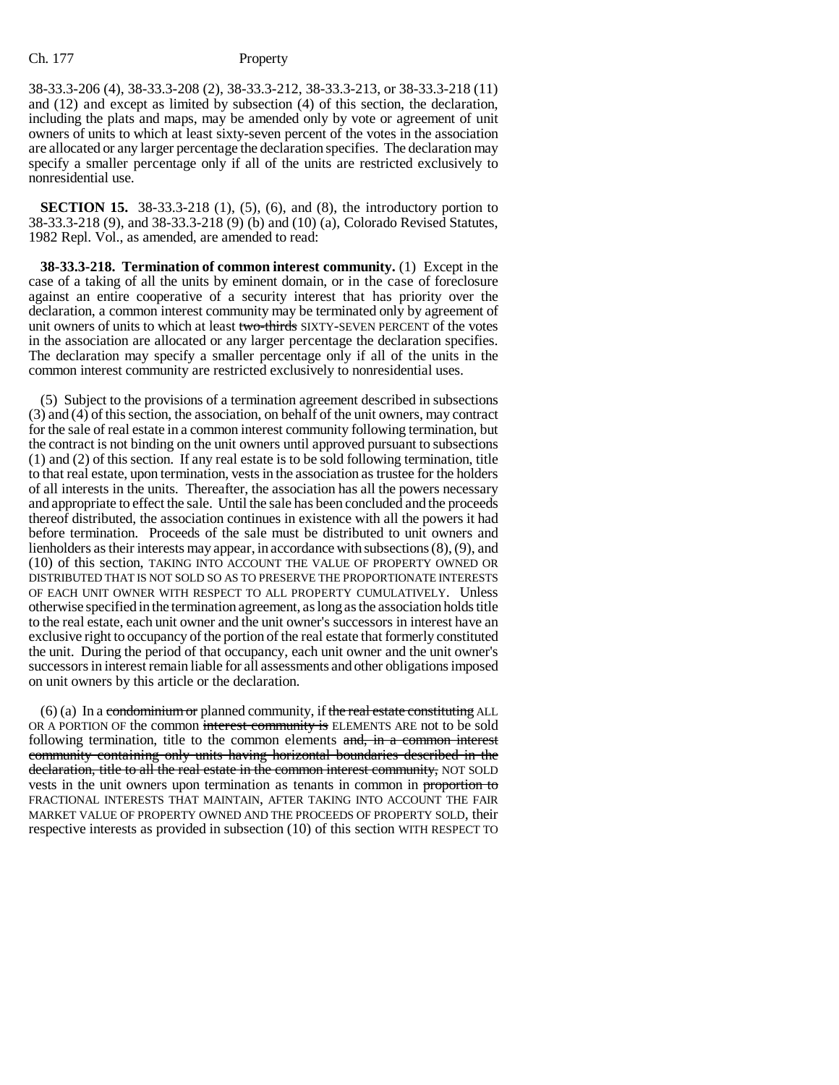38-33.3-206 (4), 38-33.3-208 (2), 38-33.3-212, 38-33.3-213, or 38-33.3-218 (11) and (12) and except as limited by subsection (4) of this section, the declaration, including the plats and maps, may be amended only by vote or agreement of unit owners of units to which at least sixty-seven percent of the votes in the association are allocated or any larger percentage the declaration specifies. The declaration may specify a smaller percentage only if all of the units are restricted exclusively to nonresidential use.

**SECTION 15.** 38-33.3-218 (1), (5), (6), and (8), the introductory portion to 38-33.3-218 (9), and 38-33.3-218 (9) (b) and (10) (a), Colorado Revised Statutes, 1982 Repl. Vol., as amended, are amended to read:

**38-33.3-218. Termination of common interest community.** (1) Except in the case of a taking of all the units by eminent domain, or in the case of foreclosure against an entire cooperative of a security interest that has priority over the declaration, a common interest community may be terminated only by agreement of unit owners of units to which at least two-thirds SIXTY-SEVEN PERCENT of the votes in the association are allocated or any larger percentage the declaration specifies. The declaration may specify a smaller percentage only if all of the units in the common interest community are restricted exclusively to nonresidential uses.

(5) Subject to the provisions of a termination agreement described in subsections (3) and (4) of this section, the association, on behalf of the unit owners, may contract for the sale of real estate in a common interest community following termination, but the contract is not binding on the unit owners until approved pursuant to subsections (1) and (2) of this section. If any real estate is to be sold following termination, title to that real estate, upon termination, vests in the association as trustee for the holders of all interests in the units. Thereafter, the association has all the powers necessary and appropriate to effect the sale. Until the sale has been concluded and the proceeds thereof distributed, the association continues in existence with all the powers it had before termination. Proceeds of the sale must be distributed to unit owners and lienholders as their interests may appear, in accordance with subsections (8), (9), and (10) of this section, TAKING INTO ACCOUNT THE VALUE OF PROPERTY OWNED OR DISTRIBUTED THAT IS NOT SOLD SO AS TO PRESERVE THE PROPORTIONATE INTERESTS OF EACH UNIT OWNER WITH RESPECT TO ALL PROPERTY CUMULATIVELY. Unless otherwise specified in the termination agreement, as long as the association holds title to the real estate, each unit owner and the unit owner's successors in interest have an exclusive right to occupancy of the portion of the real estate that formerly constituted the unit. During the period of that occupancy, each unit owner and the unit owner's successors in interest remain liable for all assessments and other obligations imposed on unit owners by this article or the declaration.

 $(6)$  (a) In a condominium or planned community, if the real estate constituting ALL OR A PORTION OF the common interest community is ELEMENTS ARE not to be sold following termination, title to the common elements and, in a common interest community containing only units having horizontal boundaries described in the declaration, title to all the real estate in the common interest community, NOT SOLD vests in the unit owners upon termination as tenants in common in proportion to FRACTIONAL INTERESTS THAT MAINTAIN, AFTER TAKING INTO ACCOUNT THE FAIR MARKET VALUE OF PROPERTY OWNED AND THE PROCEEDS OF PROPERTY SOLD, their respective interests as provided in subsection (10) of this section WITH RESPECT TO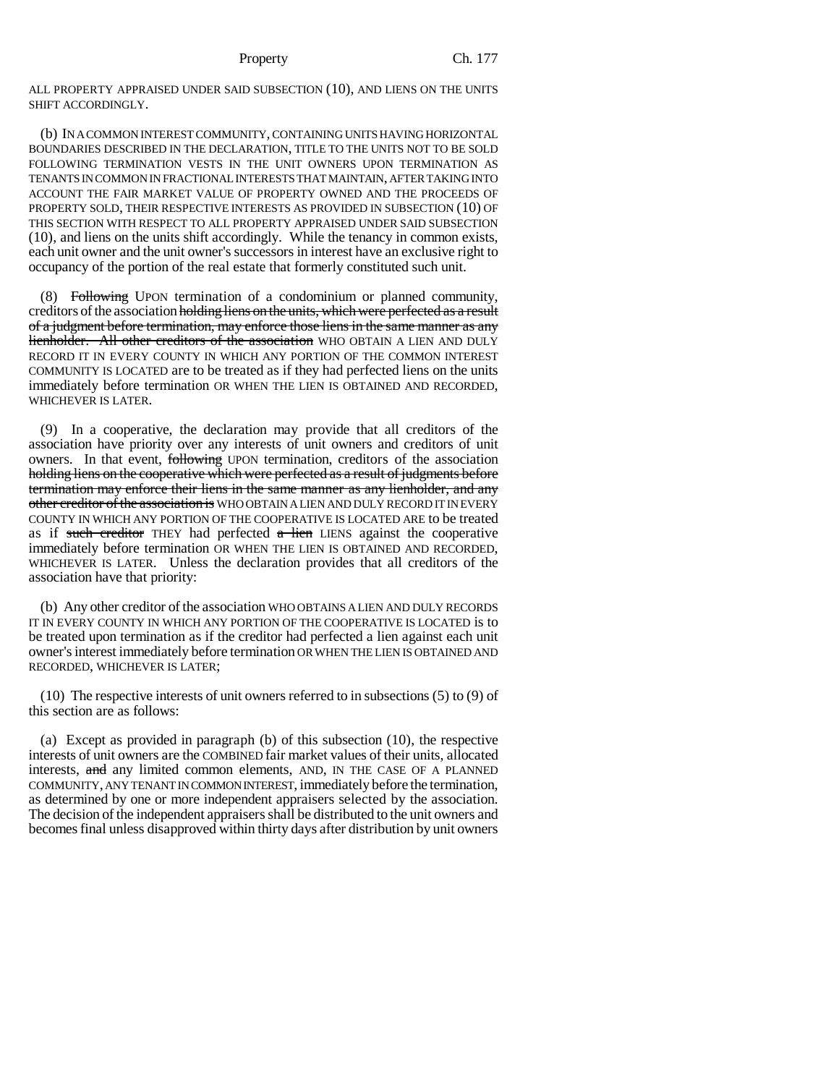ALL PROPERTY APPRAISED UNDER SAID SUBSECTION (10), AND LIENS ON THE UNITS SHIFT ACCORDINGLY.

(b) IN A COMMON INTEREST COMMUNITY, CONTAINING UNITS HAVING HORIZONTAL BOUNDARIES DESCRIBED IN THE DECLARATION, TITLE TO THE UNITS NOT TO BE SOLD FOLLOWING TERMINATION VESTS IN THE UNIT OWNERS UPON TERMINATION AS TENANTS IN COMMON IN FRACTIONAL INTERESTS THAT MAINTAIN, AFTER TAKING INTO ACCOUNT THE FAIR MARKET VALUE OF PROPERTY OWNED AND THE PROCEEDS OF PROPERTY SOLD, THEIR RESPECTIVE INTERESTS AS PROVIDED IN SUBSECTION (10) OF THIS SECTION WITH RESPECT TO ALL PROPERTY APPRAISED UNDER SAID SUBSECTION (10), and liens on the units shift accordingly. While the tenancy in common exists, each unit owner and the unit owner's successors in interest have an exclusive right to occupancy of the portion of the real estate that formerly constituted such unit.

(8) Following UPON termination of a condominium or planned community, creditors of the association holding liens on the units, which were perfected as a result of a judgment before termination, may enforce those liens in the same manner as any lienholder. All other creditors of the association WHO OBTAIN A LIEN AND DULY RECORD IT IN EVERY COUNTY IN WHICH ANY PORTION OF THE COMMON INTEREST COMMUNITY IS LOCATED are to be treated as if they had perfected liens on the units immediately before termination OR WHEN THE LIEN IS OBTAINED AND RECORDED, WHICHEVER IS LATER.

(9) In a cooperative, the declaration may provide that all creditors of the association have priority over any interests of unit owners and creditors of unit owners. In that event, following UPON termination, creditors of the association holding liens on the cooperative which were perfected as a result of judgments before termination may enforce their liens in the same manner as any lienholder, and any other creditor of the association is WHO OBTAIN A LIEN AND DULY RECORD IT IN EVERY COUNTY IN WHICH ANY PORTION OF THE COOPERATIVE IS LOCATED ARE to be treated as if such creditor THEY had perfected  $a$  lien LIENS against the cooperative immediately before termination OR WHEN THE LIEN IS OBTAINED AND RECORDED, WHICHEVER IS LATER. Unless the declaration provides that all creditors of the association have that priority:

(b) Any other creditor of the association WHO OBTAINS A LIEN AND DULY RECORDS IT IN EVERY COUNTY IN WHICH ANY PORTION OF THE COOPERATIVE IS LOCATED is to be treated upon termination as if the creditor had perfected a lien against each unit owner's interest immediately before termination OR WHEN THE LIEN IS OBTAINED AND RECORDED, WHICHEVER IS LATER;

(10) The respective interests of unit owners referred to in subsections (5) to (9) of this section are as follows:

(a) Except as provided in paragraph (b) of this subsection (10), the respective interests of unit owners are the COMBINED fair market values of their units, allocated interests, and any limited common elements, AND, IN THE CASE OF A PLANNED COMMUNITY, ANY TENANT IN COMMON INTEREST, immediately before the termination, as determined by one or more independent appraisers selected by the association. The decision of the independent appraisers shall be distributed to the unit owners and becomes final unless disapproved within thirty days after distribution by unit owners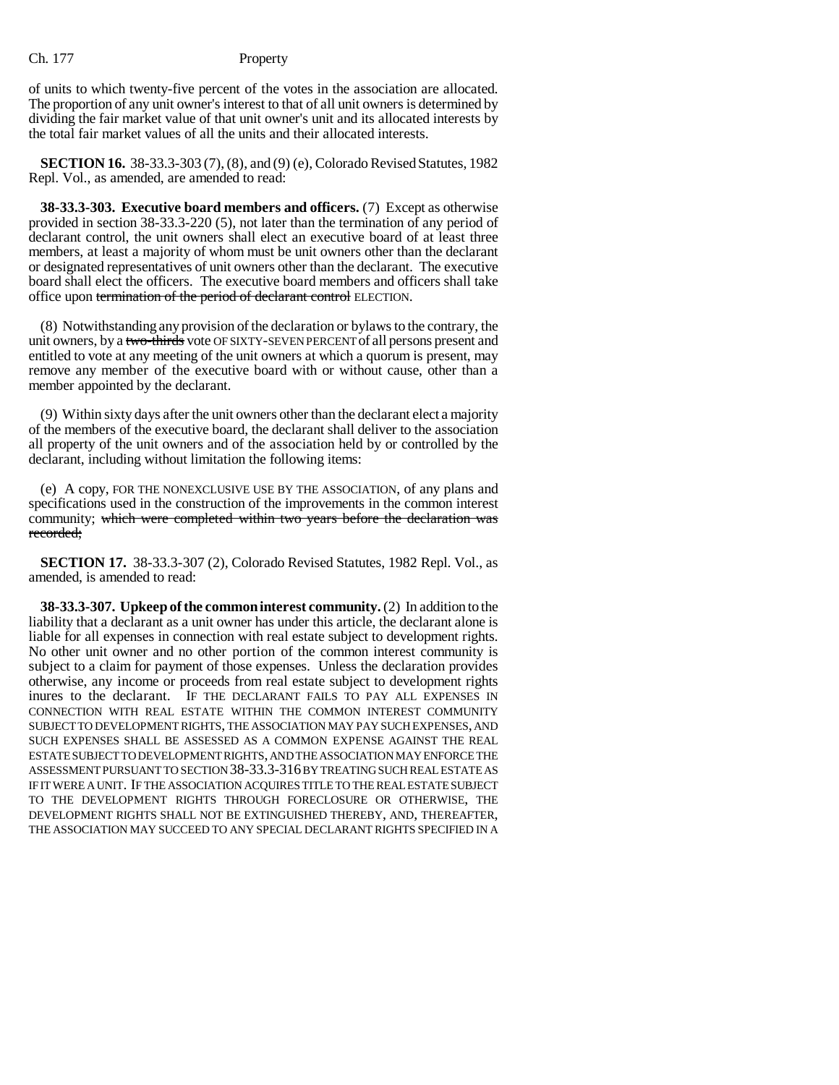of units to which twenty-five percent of the votes in the association are allocated. The proportion of any unit owner's interest to that of all unit owners is determined by dividing the fair market value of that unit owner's unit and its allocated interests by the total fair market values of all the units and their allocated interests.

**SECTION 16.** 38-33.3-303 (7), (8), and (9) (e), Colorado Revised Statutes, 1982 Repl. Vol., as amended, are amended to read:

**38-33.3-303. Executive board members and officers.** (7) Except as otherwise provided in section 38-33.3-220 (5), not later than the termination of any period of declarant control, the unit owners shall elect an executive board of at least three members, at least a majority of whom must be unit owners other than the declarant or designated representatives of unit owners other than the declarant. The executive board shall elect the officers. The executive board members and officers shall take office upon termination of the period of declarant control ELECTION.

(8) Notwithstanding any provision of the declaration or bylaws to the contrary, the unit owners, by a two-thirds vote OF SIXTY-SEVEN PERCENT of all persons present and entitled to vote at any meeting of the unit owners at which a quorum is present, may remove any member of the executive board with or without cause, other than a member appointed by the declarant.

(9) Within sixty days after the unit owners other than the declarant elect a majority of the members of the executive board, the declarant shall deliver to the association all property of the unit owners and of the association held by or controlled by the declarant, including without limitation the following items:

(e) A copy, FOR THE NONEXCLUSIVE USE BY THE ASSOCIATION, of any plans and specifications used in the construction of the improvements in the common interest community; which were completed within two years before the declaration was recorded;

**SECTION 17.** 38-33.3-307 (2), Colorado Revised Statutes, 1982 Repl. Vol., as amended, is amended to read:

**38-33.3-307. Upkeep of the common interest community.** (2) In addition to the liability that a declarant as a unit owner has under this article, the declarant alone is liable for all expenses in connection with real estate subject to development rights. No other unit owner and no other portion of the common interest community is subject to a claim for payment of those expenses. Unless the declaration provides otherwise, any income or proceeds from real estate subject to development rights inures to the declarant. IF THE DECLARANT FAILS TO PAY ALL EXPENSES IN CONNECTION WITH REAL ESTATE WITHIN THE COMMON INTEREST COMMUNITY SUBJECT TO DEVELOPMENT RIGHTS, THE ASSOCIATION MAY PAY SUCH EXPENSES, AND SUCH EXPENSES SHALL BE ASSESSED AS A COMMON EXPENSE AGAINST THE REAL ESTATE SUBJECT TO DEVELOPMENT RIGHTS, AND THE ASSOCIATION MAY ENFORCE THE ASSESSMENT PURSUANT TO SECTION 38-33.3-316 BY TREATING SUCH REAL ESTATE AS IF IT WERE A UNIT. IF THE ASSOCIATION ACQUIRES TITLE TO THE REAL ESTATE SUBJECT TO THE DEVELOPMENT RIGHTS THROUGH FORECLOSURE OR OTHERWISE, THE DEVELOPMENT RIGHTS SHALL NOT BE EXTINGUISHED THEREBY, AND, THEREAFTER, THE ASSOCIATION MAY SUCCEED TO ANY SPECIAL DECLARANT RIGHTS SPECIFIED IN A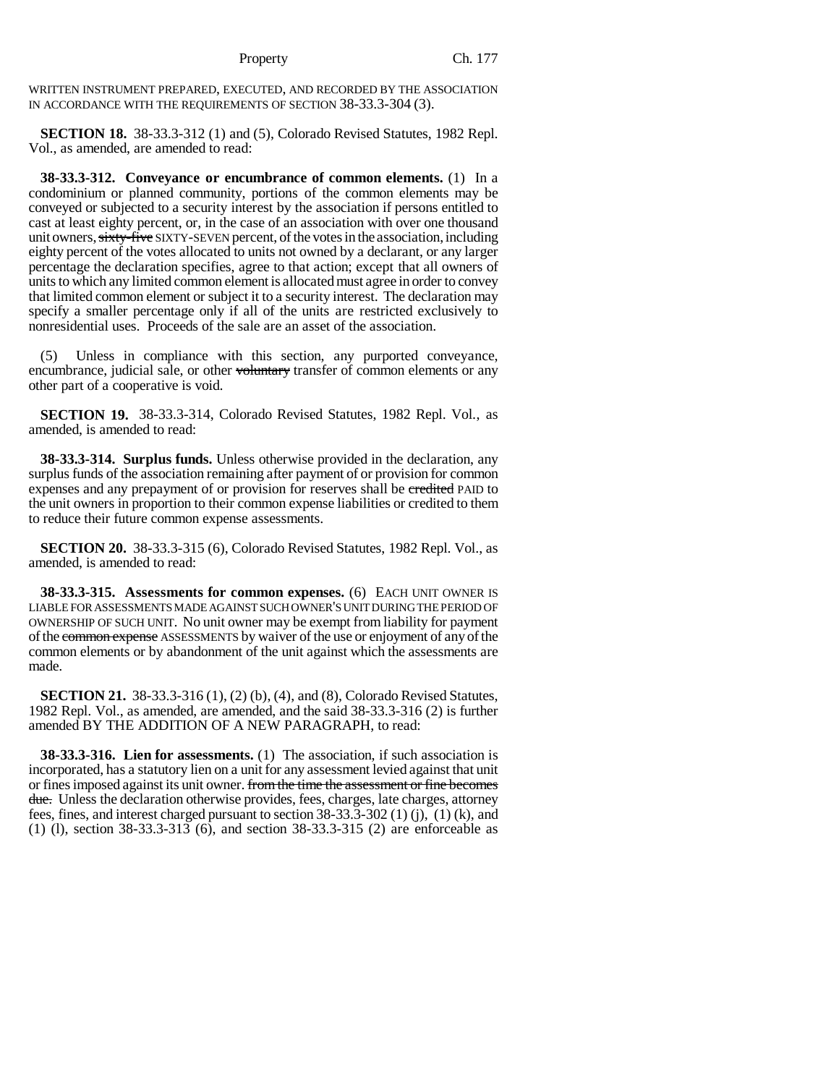WRITTEN INSTRUMENT PREPARED, EXECUTED, AND RECORDED BY THE ASSOCIATION IN ACCORDANCE WITH THE REQUIREMENTS OF SECTION 38-33.3-304 (3).

**SECTION 18.** 38-33.3-312 (1) and (5), Colorado Revised Statutes, 1982 Repl. Vol., as amended, are amended to read:

**38-33.3-312. Conveyance or encumbrance of common elements.** (1) In a condominium or planned community, portions of the common elements may be conveyed or subjected to a security interest by the association if persons entitled to cast at least eighty percent, or, in the case of an association with over one thousand unit owners, sixty-five SIXTY-SEVEN percent, of the votes in the association, including eighty percent of the votes allocated to units not owned by a declarant, or any larger percentage the declaration specifies, agree to that action; except that all owners of units to which any limited common element is allocated must agree in order to convey that limited common element or subject it to a security interest. The declaration may specify a smaller percentage only if all of the units are restricted exclusively to nonresidential uses. Proceeds of the sale are an asset of the association.

(5) Unless in compliance with this section, any purported conveyance, encumbrance, judicial sale, or other voluntary transfer of common elements or any other part of a cooperative is void.

**SECTION 19.** 38-33.3-314, Colorado Revised Statutes, 1982 Repl. Vol., as amended, is amended to read:

**38-33.3-314. Surplus funds.** Unless otherwise provided in the declaration, any surplus funds of the association remaining after payment of or provision for common expenses and any prepayment of or provision for reserves shall be credited PAID to the unit owners in proportion to their common expense liabilities or credited to them to reduce their future common expense assessments.

**SECTION 20.** 38-33.3-315 (6), Colorado Revised Statutes, 1982 Repl. Vol., as amended, is amended to read:

**38-33.3-315. Assessments for common expenses.** (6) EACH UNIT OWNER IS LIABLE FOR ASSESSMENTS MADE AGAINST SUCH OWNER'S UNIT DURING THE PERIOD OF OWNERSHIP OF SUCH UNIT. No unit owner may be exempt from liability for payment of the common expense ASSESSMENTS by waiver of the use or enjoyment of any of the common elements or by abandonment of the unit against which the assessments are made.

**SECTION 21.** 38-33.3-316 (1), (2) (b), (4), and (8), Colorado Revised Statutes, 1982 Repl. Vol., as amended, are amended, and the said 38-33.3-316 (2) is further amended BY THE ADDITION OF A NEW PARAGRAPH, to read:

**38-33.3-316. Lien for assessments.** (1) The association, if such association is incorporated, has a statutory lien on a unit for any assessment levied against that unit or fines imposed against its unit owner. from the time the assessment or fine becomes due. Unless the declaration otherwise provides, fees, charges, late charges, attorney fees, fines, and interest charged pursuant to section 38-33.3-302 (1) (j), (1) (k), and (1) (l), section 38-33.3-313 (6), and section 38-33.3-315 (2) are enforceable as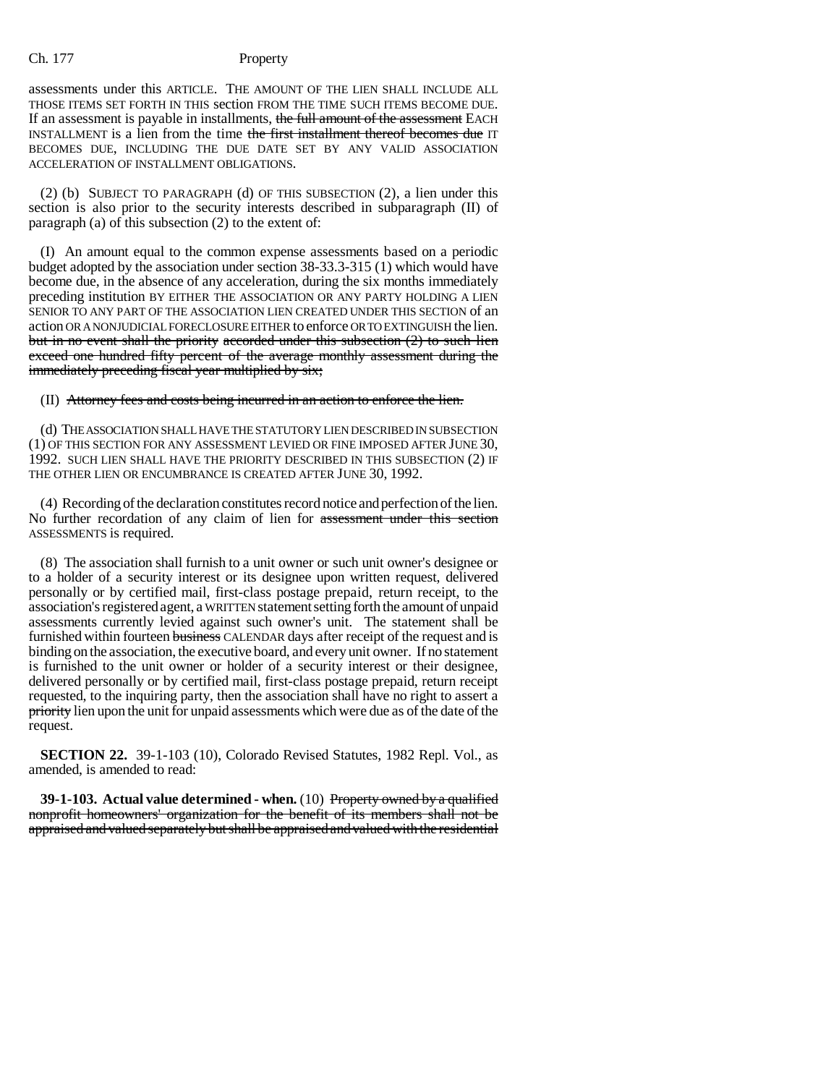assessments under this ARTICLE. THE AMOUNT OF THE LIEN SHALL INCLUDE ALL THOSE ITEMS SET FORTH IN THIS section FROM THE TIME SUCH ITEMS BECOME DUE. If an assessment is payable in installments, the full amount of the assessment EACH INSTALLMENT is a lien from the time the first installment thereof becomes due IT BECOMES DUE, INCLUDING THE DUE DATE SET BY ANY VALID ASSOCIATION ACCELERATION OF INSTALLMENT OBLIGATIONS.

(2) (b) SUBJECT TO PARAGRAPH (d) OF THIS SUBSECTION (2), a lien under this section is also prior to the security interests described in subparagraph (II) of paragraph (a) of this subsection (2) to the extent of:

(I) An amount equal to the common expense assessments based on a periodic budget adopted by the association under section 38-33.3-315 (1) which would have become due, in the absence of any acceleration, during the six months immediately preceding institution BY EITHER THE ASSOCIATION OR ANY PARTY HOLDING A LIEN SENIOR TO ANY PART OF THE ASSOCIATION LIEN CREATED UNDER THIS SECTION of an action OR A NONJUDICIAL FORECLOSURE EITHER to enforce OR TO EXTINGUISH the lien. but in no event shall the priority accorded under this subsection (2) to such lien exceed one hundred fifty percent of the average monthly assessment during the immediately preceding fiscal year multiplied by six;

(II) Attorney fees and costs being incurred in an action to enforce the lien.

(d) THE ASSOCIATION SHALL HAVE THE STATUTORY LIEN DESCRIBED IN SUBSECTION (1) OF THIS SECTION FOR ANY ASSESSMENT LEVIED OR FINE IMPOSED AFTER JUNE 30, 1992. SUCH LIEN SHALL HAVE THE PRIORITY DESCRIBED IN THIS SUBSECTION (2) IF THE OTHER LIEN OR ENCUMBRANCE IS CREATED AFTER JUNE 30, 1992.

(4) Recording of the declaration constitutes record notice and perfection of the lien. No further recordation of any claim of lien for assessment under this section ASSESSMENTS is required.

(8) The association shall furnish to a unit owner or such unit owner's designee or to a holder of a security interest or its designee upon written request, delivered personally or by certified mail, first-class postage prepaid, return receipt, to the association's registered agent, a WRITTEN statement setting forth the amount of unpaid assessments currently levied against such owner's unit. The statement shall be furnished within fourteen business CALENDAR days after receipt of the request and is binding on the association, the executive board, and every unit owner. If no statement is furnished to the unit owner or holder of a security interest or their designee, delivered personally or by certified mail, first-class postage prepaid, return receipt requested, to the inquiring party, then the association shall have no right to assert a priority lien upon the unit for unpaid assessments which were due as of the date of the request.

**SECTION 22.** 39-1-103 (10), Colorado Revised Statutes, 1982 Repl. Vol., as amended, is amended to read:

**39-1-103. Actual value determined - when.** (10) Property owned by a qualified nonprofit homeowners' organization for the benefit of its members shall not be appraised and valued separately but shall be appraised and valued with the residential